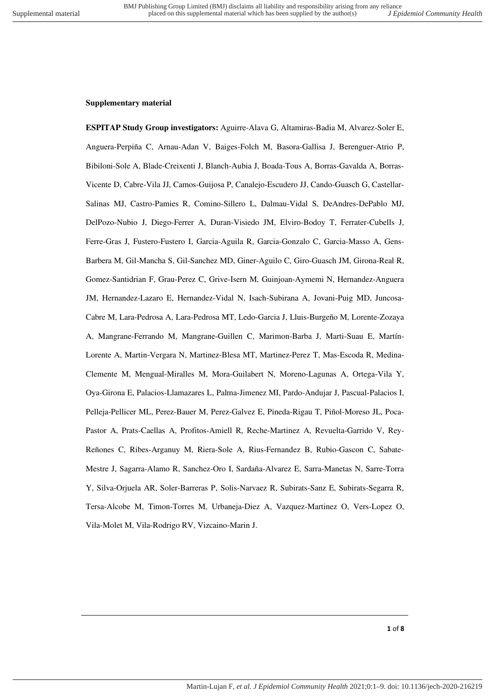## **Supplementary material**

**ESPITAP Study Group investigators:** Aguirre-Alava G, Altamiras-Badia M, Alvarez-Soler E, Anguera-Perpiña C, Arnau-Adan V, Baiges-Folch M, Basora-Gallisa J, Berenguer-Atrio P, Bibiloni-Sole A, Blade-Creixenti J, Blanch-Aubia J, Boada-Tous A, Borras-Gavalda A, Borras-Vicente D, Cabre-Vila JJ, Camos-Guijosa P, Canalejo-Escudero JJ, Cando-Guasch G, Castellar-Salinas MJ, Castro-Pamies R, Comino-Sillero L, Dalmau-Vidal S, DeAndres-DePablo MJ, DelPozo-Nubio J, Diego-Ferrer A, Duran-Visiedo JM, Elviro-Bodoy T, Ferrater-Cubells J, Ferre-Gras J, Fustero-Fustero I, Garcia-Aguila R, Garcia-Gonzalo C, Garcia-Masso A, Gens-Barbera M, Gil-Mancha S, Gil-Sanchez MD, Giner-Aguilo C, Giro-Guasch JM, Girona-Real R, Gomez-Santidrian F, Grau-Perez C, Grive-Isern M, Guinjoan-Aymemi N, Hernandez-Anguera JM, Hernandez-Lazaro E, Hernandez-Vidal N, Isach-Subirana A, Jovani-Puig MD, Juncosa-Cabre M, Lara-Pedrosa A, Lara-Pedrosa MT, Ledo-Garcia J, Lluis-Burgeño M, Lorente-Zozaya A, Mangrane-Ferrando M, Mangrane-Guillen C, Marimon-Barba J, Marti-Suau E, Martín-Lorente A, Martin-Vergara N, Martinez-Blesa MT, Martinez-Perez T, Mas-Escoda R, Medina-Clemente M, Mengual-Miralles M, Mora-Guilabert N, Moreno-Lagunas A, Ortega-Vila Y, Oya-Girona E, Palacios-Llamazares L, Palma-Jimenez MI, Pardo-Andujar J, Pascual-Palacios I, Pelleja-Pellicer ML, Perez-Bauer M, Perez-Galvez E, Pineda-Rigau T, Piñol-Moreso JL, Poca-Pastor A, Prats-Caellas A, Profitos-Amiell R, Reche-Martinez A, Revuelta-Garrido V, Rey-Reñones C, Ribes-Arganuy M, Riera-Sole A, Rius-Fernandez B, Rubio-Gascon C, Sabate-Mestre J, Sagarra-Alamo R, Sanchez-Oro I, Sardaña-Alvarez E, Sarra-Manetas N, Sarre-Torra Y, Silva-Orjuela AR, Soler-Barreras P, Solis-Narvaez R, Subirats-Sanz E, Subirats-Segarra R, Tersa-Alcobe M, Timon-Torres M, Urbaneja-Diez A, Vazquez-Martinez O, Vers-Lopez O, Vila-Molet M, Vila-Rodrigo RV, Vizcaino-Marin J.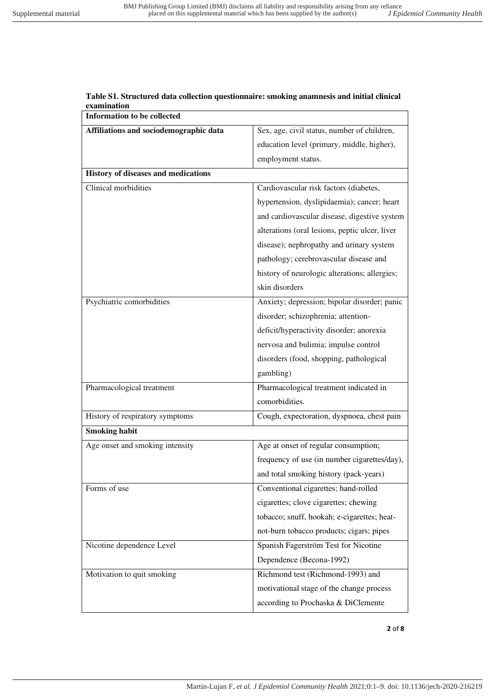| <b>Information to be collected</b>         |                                                |
|--------------------------------------------|------------------------------------------------|
| Affiliations and sociodemographic data     | Sex, age, civil status, number of children,    |
|                                            | education level (primary, middle, higher),     |
|                                            | employment status.                             |
| <b>History of diseases and medications</b> |                                                |
| Clinical morbidities                       | Cardiovascular risk factors (diabetes,         |
|                                            | hypertension, dyslipidaemia); cancer; heart    |
|                                            | and cardiovascular disease, digestive system   |
|                                            | alterations (oral lesions, peptic ulcer, liver |
|                                            | disease); nephropathy and urinary system       |
|                                            | pathology; cerebrovascular disease and         |
|                                            | history of neurologic alterations; allergies;  |
|                                            | skin disorders                                 |
| Psychiatric comorbidities                  | Anxiety; depression; bipolar disorder; panic   |
|                                            | disorder; schizophrenia; attention-            |
|                                            | deficit/hyperactivity disorder; anorexia       |
|                                            | nervosa and bulimia; impulse control           |
|                                            | disorders (food, shopping, pathological        |
|                                            | gambling)                                      |
| Pharmacological treatment                  | Pharmacological treatment indicated in         |
|                                            | comorbidities.                                 |
| History of respiratory symptoms            | Cough, expectoration, dyspnoea, chest pain     |
| <b>Smoking habit</b>                       |                                                |
| Age onset and smoking intensity            | Age at onset of regular consumption;           |
|                                            | frequency of use (in number cigarettes/day),   |
|                                            | and total smoking history (pack-years)         |
| Forms of use                               | Conventional cigarettes; hand-rolled           |
|                                            | cigarettes; clove cigarettes; chewing          |
|                                            | tobacco; snuff, hookah; e-cigarettes; heat-    |
|                                            | not-burn tobacco products; cigars; pipes       |
| Nicotine dependence Level                  | Spanish Fagerström Test for Nicotine           |
|                                            | Dependence (Becona-1992)                       |
| Motivation to quit smoking                 | Richmond test (Richmond-1993) and              |
|                                            | motivational stage of the change process       |

## **Table S1. Structured data collection questionnaire: smoking anamnesis and initial clinical examination Information to be collected**

according to Prochaska & DiClemente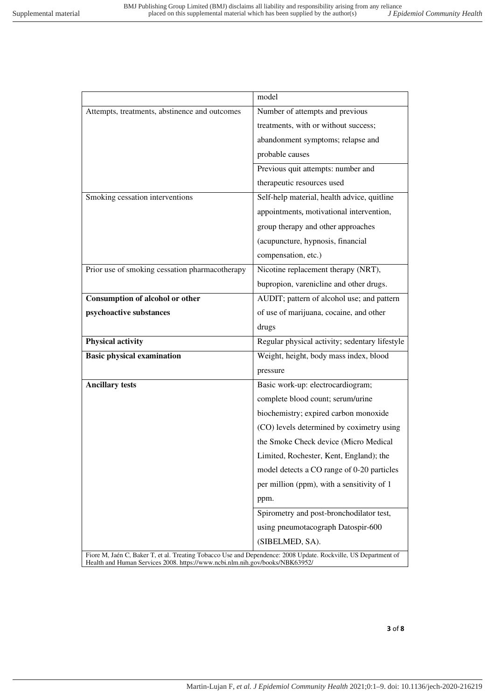|                                                                                                                                                                                                | model                                          |
|------------------------------------------------------------------------------------------------------------------------------------------------------------------------------------------------|------------------------------------------------|
| Attempts, treatments, abstinence and outcomes                                                                                                                                                  | Number of attempts and previous                |
|                                                                                                                                                                                                | treatments, with or without success;           |
|                                                                                                                                                                                                | abandonment symptoms; relapse and              |
|                                                                                                                                                                                                | probable causes                                |
|                                                                                                                                                                                                | Previous quit attempts: number and             |
|                                                                                                                                                                                                | therapeutic resources used                     |
| Smoking cessation interventions                                                                                                                                                                | Self-help material, health advice, quitline    |
|                                                                                                                                                                                                | appointments, motivational intervention,       |
|                                                                                                                                                                                                | group therapy and other approaches             |
|                                                                                                                                                                                                | (acupuncture, hypnosis, financial              |
|                                                                                                                                                                                                | compensation, etc.)                            |
| Prior use of smoking cessation pharmacotherapy                                                                                                                                                 | Nicotine replacement therapy (NRT),            |
|                                                                                                                                                                                                | bupropion, varenicline and other drugs.        |
| <b>Consumption of alcohol or other</b>                                                                                                                                                         | AUDIT; pattern of alcohol use; and pattern     |
| psychoactive substances                                                                                                                                                                        | of use of marijuana, cocaine, and other        |
|                                                                                                                                                                                                | drugs                                          |
| <b>Physical activity</b>                                                                                                                                                                       | Regular physical activity; sedentary lifestyle |
| <b>Basic physical examination</b>                                                                                                                                                              | Weight, height, body mass index, blood         |
|                                                                                                                                                                                                | pressure                                       |
| <b>Ancillary tests</b>                                                                                                                                                                         | Basic work-up: electrocardiogram;              |
|                                                                                                                                                                                                | complete blood count; serum/urine              |
|                                                                                                                                                                                                | biochemistry; expired carbon monoxide          |
|                                                                                                                                                                                                | (CO) levels determined by coximetry using      |
|                                                                                                                                                                                                | the Smoke Check device (Micro Medical          |
|                                                                                                                                                                                                | Limited, Rochester, Kent, England); the        |
|                                                                                                                                                                                                | model detects a CO range of 0-20 particles     |
|                                                                                                                                                                                                | per million (ppm), with a sensitivity of 1     |
|                                                                                                                                                                                                | ppm.                                           |
|                                                                                                                                                                                                | Spirometry and post-bronchodilator test,       |
|                                                                                                                                                                                                | using pneumotacograph Datospir-600             |
|                                                                                                                                                                                                | (SIBELMED, SA).                                |
| Fiore M, Jaén C, Baker T, et al. Treating Tobacco Use and Dependence: 2008 Update. Rockville, US Department of<br>Health and Human Services 2008. https://www.ncbi.nlm.nih.gov/books/NBK63952/ |                                                |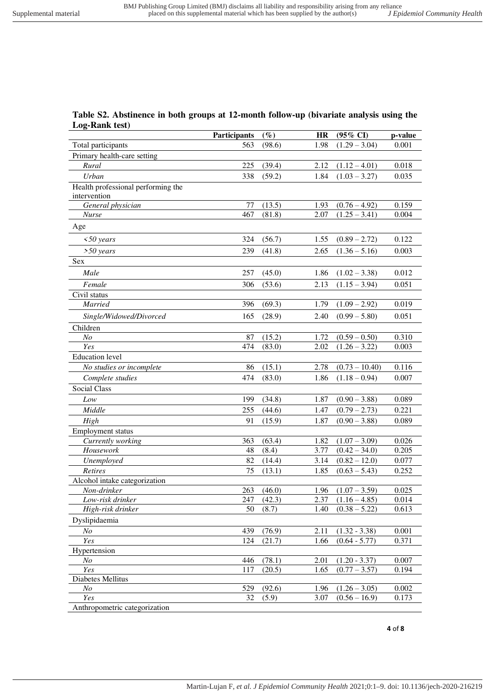## **Table S2. Abstinence in both groups at 12-month follow-up (bivariate analysis using the Log-Rank test)**

|                                    | Participants | $(\%)$ | HR   | (95% CI)         | p-value |
|------------------------------------|--------------|--------|------|------------------|---------|
| Total participants                 | 563          | (98.6) | 1.98 | $(1.29 - 3.04)$  | 0.001   |
| Primary health-care setting        |              |        |      |                  |         |
| Rural                              | 225          | (39.4) | 2.12 | $(1.12 - 4.01)$  | 0.018   |
| Urban                              | 338          | (59.2) | 1.84 | $(1.03 - 3.27)$  | 0.035   |
| Health professional performing the |              |        |      |                  |         |
| intervention                       |              |        |      |                  |         |
| General physician                  | 77           | (13.5) | 1.93 | $(0.76 - 4.92)$  | 0.159   |
| <b>Nurse</b>                       | 467          | (81.8) | 2.07 | $(1.25 - 3.41)$  | 0.004   |
| Age                                |              |        |      |                  |         |
| $50 \, years$                      | 324          | (56.7) | 1.55 | $(0.89 - 2.72)$  | 0.122   |
| $>50$ years                        | 239          | (41.8) | 2.65 | $(1.36 - 5.16)$  | 0.003   |
| Sex                                |              |        |      |                  |         |
| Male                               | 257          | (45.0) | 1.86 | $(1.02 - 3.38)$  | 0.012   |
| Female                             | 306          | (53.6) | 2.13 | $(1.15 - 3.94)$  | 0.051   |
| Civil status                       |              |        |      |                  |         |
| Married                            | 396          | (69.3) | 1.79 | $(1.09 - 2.92)$  | 0.019   |
| Single/Widowed/Divorced            | 165          | (28.9) | 2.40 | $(0.99 - 5.80)$  | 0.051   |
| Children                           |              |        |      |                  |         |
| N <sub>O</sub>                     | 87           | (15.2) | 1.72 | $(0.59 - 0.50)$  | 0.310   |
| Yes                                | 474          | (83.0) | 2.02 | $(1.26 - 3.22)$  | 0.003   |
| <b>Education</b> level             |              |        |      |                  |         |
| No studies or incomplete           | 86           | (15.1) | 2.78 | $(0.73 - 10.40)$ | 0.116   |
| Complete studies                   | 474          | (83.0) | 1.86 | $(1.18 - 0.94)$  | 0.007   |
| <b>Social Class</b>                |              |        |      |                  |         |
| Low                                | 199          | (34.8) | 1.87 | $(0.90 - 3.88)$  | 0.089   |
| Middle                             | 255          | (44.6) | 1.47 | $(0.79 - 2.73)$  | 0.221   |
| High                               | 91           | (15.9) | 1.87 | $(0.90 - 3.88)$  | 0.089   |
| <b>Employment status</b>           |              |        |      |                  |         |
| Currently working                  | 363          | (63.4) | 1.82 | $(1.07 - 3.09)$  | 0.026   |
| Housework                          | 48           | (8.4)  | 3.77 | $(0.42 - 34.0)$  | 0.205   |
| Unemployed                         | 82           | (14.4) | 3.14 | $(0.82 - 12.0)$  | 0.077   |
| Retires                            | 75           | (13.1) | 1.85 | $(0.63 - 5.43)$  | 0.252   |
| Alcohol intake categorization      |              |        |      |                  |         |
| Non-drinker                        | 263          | (46.0) | 1.96 | $(1.07 - 3.59)$  | 0.025   |
| Low-risk drinker                   | 247          | (42.3) | 2.37 | $(1.16 - 4.85)$  | 0.014   |
| High-risk drinker                  | 50           | (8.7)  | 1.40 | $(0.38 - 5.22)$  | 0.613   |
| Dyslipidaemia                      |              |        |      |                  |         |
| N <sub>O</sub>                     | 439          | (76.9) | 2.11 | $(1.32 - 3.38)$  | 0.001   |
| Yes                                | 124          | (21.7) | 1.66 | $(0.64 - 5.77)$  | 0.371   |
| Hypertension                       |              |        |      |                  |         |
| No                                 | 446          | (78.1) | 2.01 | $(1.20 - 3.37)$  | 0.007   |
| Yes                                | 117          | (20.5) | 1.65 | $(0.77 - 3.57)$  | 0.194   |
| Diabetes Mellitus                  |              |        |      |                  |         |
| N <sub>O</sub>                     | 529          | (92.6) | 1.96 | $(1.26 - 3.05)$  | 0.002   |
| Yes                                | 32           | (5.9)  | 3.07 | $(0.56 - 16.9)$  | 0.173   |
| Anthropometric categorization      |              |        |      |                  |         |

**4** of **8**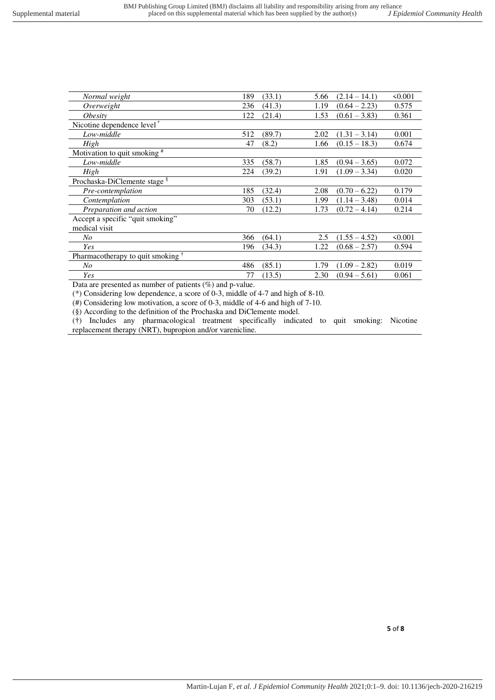|     |            |                            |                      | 50.001                                                |
|-----|------------|----------------------------|----------------------|-------------------------------------------------------|
|     |            |                            |                      | 0.575                                                 |
| 122 |            |                            |                      | 0.361                                                 |
|     |            |                            |                      |                                                       |
| 512 | (89.7)     | 2.02                       | $(1.31 - 3.14)$      | 0.001                                                 |
| 47  | (8.2)      | 1.66                       | $(0.15 - 18.3)$      | 0.674                                                 |
|     |            |                            |                      |                                                       |
| 335 | (58.7)     | 1.85                       | $(0.94 - 3.65)$      | 0.072                                                 |
| 224 | (39.2)     | 1.91                       | $(1.09 - 3.34)$      | 0.020                                                 |
|     |            |                            |                      |                                                       |
| 185 | (32.4)     | 2.08                       | $(0.70 - 6.22)$      | 0.179                                                 |
| 303 | (53.1)     | 1.99                       | $(1.14 - 3.48)$      | 0.014                                                 |
| 70  | (12.2)     | 1.73                       | $(0.72 - 4.14)$      | 0.214                                                 |
|     |            |                            |                      |                                                       |
|     |            |                            |                      |                                                       |
| 366 | (64.1)     | 2.5                        | $(1.55 - 4.52)$      | 50.001                                                |
| 196 | (34.3)     | 1.22                       | $(0.68 - 2.57)$      | 0.594                                                 |
|     |            |                            |                      |                                                       |
| 486 | (85.1)     | 1.79                       | $(1.09 - 2.82)$      | 0.019                                                 |
| 77  | (13.5)     | 2.30                       | $(0.94 - 5.61)$      | 0.061                                                 |
|     | 189<br>236 | (33.1)<br>(41.3)<br>(21.4) | 5.66<br>1.19<br>1.53 | $(2.14 - 14.1)$<br>$(0.64 - 2.23)$<br>$(0.61 - 3.83)$ |

Data are presented as number of patients (%) and p-value.

(\*) Considering low dependence, a score of 0-3, middle of 4-7 and high of 8-10.

(#) Considering low motivation, a score of 0-3, middle of 4-6 and high of 7-10.

(§) According to the definition of the Prochaska and DiClemente model.

(†) Includes any pharmacological treatment specifically indicated to quit smoking: Nicotine replacement therapy (NRT), bupropion and/or varenicline.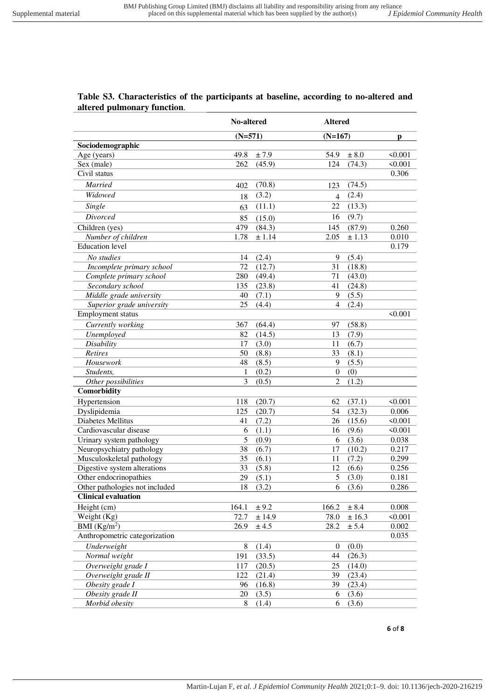## **Table S3. Characteristics of the participants at baseline, according to no-altered and altered pulmonary function**.

|                                | <b>No-altered</b> |           | <b>Altered</b>   |             |         |  |
|--------------------------------|-------------------|-----------|------------------|-------------|---------|--|
|                                | $(N=571)$         |           | $(N=167)$        |             | p       |  |
| Sociodemographic               |                   |           |                  |             |         |  |
| Age (years)                    | 49.8              | ±7.9      | 54.9             | $\pm\,8.0$  | < 0.001 |  |
| Sex (male)                     | 262               | (45.9)    | 124              | (74.3)      | < 0.001 |  |
| Civil status                   |                   |           |                  |             | 0.306   |  |
| Married                        | 402               | (70.8)    | 123              | (74.5)      |         |  |
| Widowed                        | 18                | (3.2)     | $\overline{4}$   | (2.4)       |         |  |
| Single                         | 63                | (11.1)    | 22               | (13.3)      |         |  |
| <b>Divorced</b>                | 85                | (15.0)    | 16               | (9.7)       |         |  |
| Children (yes)                 | 479               | (84.3)    | 145              | (87.9)      | 0.260   |  |
| Number of children             | 1.78              | ± 1.14    | 2.05             | ± 1.13      | 0.010   |  |
| <b>Education</b> level         |                   |           |                  |             | 0.179   |  |
| No studies                     | 14                | (2.4)     | 9                | (5.4)       |         |  |
| Incomplete primary school      | 72                | (12.7)    | 31               | (18.8)      |         |  |
| Complete primary school        | 280               | (49.4)    | 71               | (43.0)      |         |  |
| Secondary school               | 135               | (23.8)    | 41               | (24.8)      |         |  |
| Middle grade university        | 40                | (7.1)     | 9                | (5.5)       |         |  |
| Superior grade university      | 25                | (4.4)     | 4                | (2.4)       |         |  |
| Employment status              |                   |           |                  |             | < 0.001 |  |
| Currently working              | 367               | (64.4)    | 97               | (58.8)      |         |  |
| Unemployed                     | 82                | (14.5)    | 13               | (7.9)       |         |  |
| Disability                     | 17                | (3.0)     | 11               | (6.7)       |         |  |
| Retires                        | 50                | (8.8)     | 33               | (8.1)       |         |  |
| Housework                      | 48                | (8.5)     | 9                | (5.5)       |         |  |
| Students,                      | 1                 | (0.2)     | $\boldsymbol{0}$ | (0)         |         |  |
| Other possibilities            | 3                 | (0.5)     | $\overline{c}$   | (1.2)       |         |  |
| Comorbidity                    |                   |           |                  |             |         |  |
| Hypertension                   | 118               | (20.7)    | 62               | (37.1)      | < 0.001 |  |
| Dyslipidemia                   | 125               | (20.7)    | 54               | (32.3)      | 0.006   |  |
| Diabetes Mellitus              | 41                | (7.2)     | 26               | (15.6)      | < 0.001 |  |
| Cardiovascular disease         | 6                 | (1.1)     | 16               | (9.6)       | < 0.001 |  |
| Urinary system pathology       | 5                 | (0.9)     | 6                | (3.6)       | 0.038   |  |
| Neuropsychiatry pathology      | 38                | (6.7)     | 17               | (10.2)      | 0.217   |  |
| Musculoskeletal pathology      | 35                | (6.1)     | 11               | (7.2)       | 0.299   |  |
| Digestive system alterations   | 33                | (5.8)     | 12               | (6.6)       | 0.256   |  |
| Other endocrinopathies         | 29                | (5.1)     | 5                | (3.0)       | 0.181   |  |
| Other pathologies not included | 18                | (3.2)     | 6                | (3.6)       | 0.286   |  |
| <b>Clinical evaluation</b>     |                   |           |                  |             |         |  |
| Height (cm)                    | 164.1             | ± 9.2     | 166.2            | $\pm$ 8.4   | 0.008   |  |
| Weight (Kg)                    | 72.7              | ± 14.9    | 78.0             | $\pm\,16.3$ | 50.001  |  |
| BMI $(Kg/m^2)$                 | 26.9              | $\pm$ 4.5 | 28.2             | ± 5.4       | 0.002   |  |
| Anthropometric categorization  |                   |           |                  |             | 0.035   |  |
| Underweight                    | 8                 | (1.4)     | $\mathbf{0}$     | (0.0)       |         |  |
| Normal weight                  | 191               | (33.5)    | 44               | (26.3)      |         |  |
| Overweight grade I             | 117               | (20.5)    | 25               | (14.0)      |         |  |
| Overweight grade II            | 122               | (21.4)    | 39               | (23.4)      |         |  |
| Obesity grade I                | 96                | (16.8)    | 39               | (23.4)      |         |  |
| Obesity grade II               | 20                | (3.5)     | 6                | (3.6)       |         |  |
| Morbid obesity                 | 8                 | (1.4)     | 6                | (3.6)       |         |  |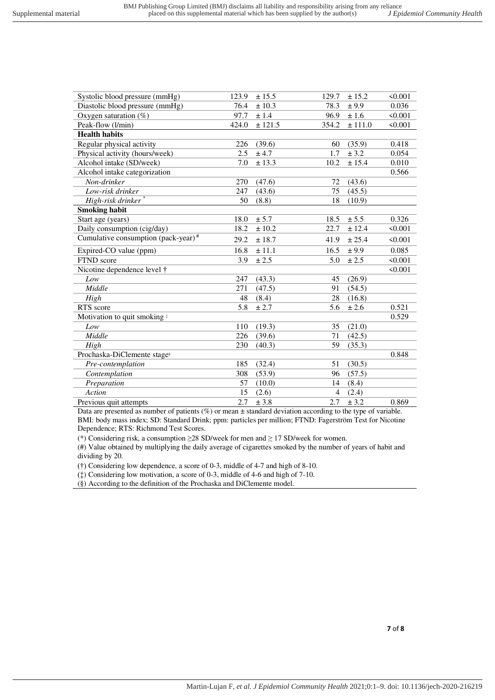| Systolic blood pressure (mmHg)         | 123.9 | ± 15.5     | 129.7 | ± 15.2      | < 0.001 |
|----------------------------------------|-------|------------|-------|-------------|---------|
| Diastolic blood pressure (mmHg)        | 76.4  | ± 10.3     | 78.3  | ± 9.9       | 0.036   |
| Oxygen saturation $(\%)$               | 97.7  | ± 1.4      | 96.9  | ±1.6        | < 0.001 |
| Peak-flow (l/min)                      | 424.0 | ± 121.5    | 354.2 | $\pm$ 111.0 | < 0.001 |
| <b>Health habits</b>                   |       |            |       |             |         |
| Regular physical activity              | 226   | (39.6)     | 60    | (35.9)      | 0.418   |
| Physical activity (hours/week)         | 2.5   | ± 4.7      | 1.7   | ± 3.2       | 0.054   |
| Alcohol intake (SD/week)               | 7.0   | ± 13.3     | 10.2  | ± 15.4      | 0.010   |
| Alcohol intake categorization          |       |            |       |             | 0.566   |
| Non-drinker                            | 270   | (47.6)     | 72    | (43.6)      |         |
| Low-risk drinker                       | 247   | (43.6)     | 75    | (45.5)      |         |
| High-risk drinker*                     | 50    | (8.8)      | 18    | (10.9)      |         |
| <b>Smoking habit</b>                   |       |            |       |             |         |
| Start age (years)                      | 18.0  | ± 5.7      | 18.5  | ± 5.5       | 0.326   |
| Daily consumption (cig/day)            | 18.2  | $\pm$ 10.2 | 22.7  | ± 12.4      | < 0.001 |
| Cumulative consumption (pack-year) $#$ | 29.2  | ± 18.7     | 41.9  | ± 25.4      | < 0.001 |
| Expired-CO value (ppm)                 | 16.8  | ± 11.1     | 16.5  | ± 9.9       | 0.085   |
| FTND score                             | 3.9   | ± 2.5      | 5.0   | ± 2.5       | < 0.001 |
| Nicotine dependence level $\dagger$    |       |            |       |             | < 0.001 |
| Low                                    | 247   | (43.3)     | 45    | (26.9)      |         |
| Middle                                 | 271   | (47.5)     | 91    | (54.5)      |         |
| High                                   | 48    | (8.4)      | 28    | (16.8)      |         |
| RTS score                              | 5.8   | ± 2.7      | 5.6   | ± 2.6       | 0.521   |
| Motivation to quit smoking #           |       |            |       |             | 0.529   |
| Low                                    | 110   | (19.3)     | 35    | (21.0)      |         |
| Middle                                 | 226   | (39.6)     | 71    | (42.5)      |         |
| High                                   | 230   | (40.3)     | 59    | (35.3)      |         |
| Prochaska-DiClemente stages            |       |            |       |             | 0.848   |
| Pre-contemplation                      | 185   | (32.4)     | 51    | (30.5)      |         |
| Contemplation                          | 308   | (53.9)     | 96    | (57.5)      |         |
| Preparation                            | 57    | (10.0)     | 14    | (8.4)       |         |
| Action                                 | 15    | (2.6)      | 4     | (2.4)       |         |
| Previous quit attempts                 | 2.7   | ± 3.8      | 2.7   | ± 3.2       | 0.869   |

Data are presented as number of patients (%) or mean ± standard deviation according to the type of variable. BMI: body mass index; SD: Standard Drink; ppm: particles per million; FTND: Fagerström Test for Nicotine Dependence; RTS: Richmond Test Scores.

(\*) Considering risk, a consumption ≥28 SD/week for men and ≥ 17 SD/week for women.

(#) Value obtained by multiplying the daily average of cigarettes smoked by the number of years of habit and dividing by 20.

(†) Considering low dependence, a score of 0-3, middle of 4-7 and high of 8-10.

(‡) Considering low motivation, a score of 0-3, middle of 4-6 and high of 7-10.

(§) According to the definition of the Prochaska and DiClemente model.